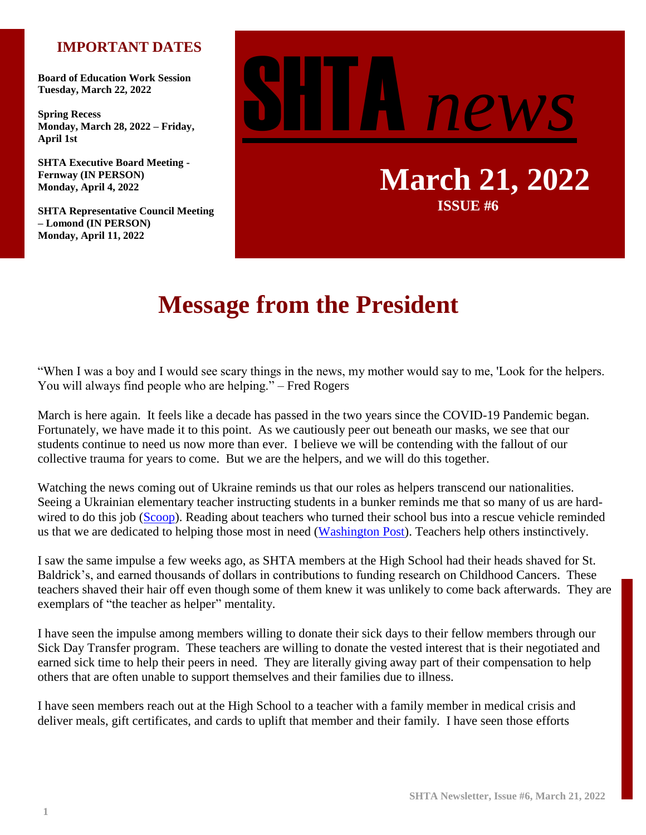## **IMPORTANT DATES**

**Board of Education Work Session Tuesday, March 22, 2022**

**Spring Recess Monday, March 28, 2022 – Friday, April 1st**

**SHTA Executive Board Meeting - Fernway (IN PERSON) Monday, April 4, 2022**

**SHTA Representative Council Meeting – Lomond (IN PERSON) Monday, April 11, 2022**



**March 21, 2022 ISSUE #6**

# **Message from the President**

"When I was a boy and I would see scary things in the news, my mother would say to me, 'Look for the helpers. You will always find people who are helping." – Fred Rogers

March is here again. It feels like a decade has passed in the two years since the COVID-19 Pandemic began. Fortunately, we have made it to this point. As we cautiously peer out beneath our masks, we see that our students continue to need us now more than ever. I believe we will be contending with the fallout of our collective trauma for years to come. But we are the helpers, and we will do this together.

Watching the news coming out of Ukraine reminds us that our roles as helpers transcend our nationalities. Seeing a Ukrainian elementary teacher instructing students in a bunker reminds me that so many of us are hard-wired to do this job [\(Scoop\)](https://scoop.upworthy.com/ukrainian-teacher-takes-class-for-her-students-in-the-bunker-during-invasion). Reading about teachers who turned their school bus into a rescue vehicle reminded us that we are dedicated to helping those most in need [\(Washington Post\)](https://www.washingtonpost.com/nation/2022/03/04/paul-hodgson-ukraine-evacuation-russia/). Teachers help others instinctively.

I saw the same impulse a few weeks ago, as SHTA members at the High School had their heads shaved for St. Baldrick's, and earned thousands of dollars in contributions to funding research on Childhood Cancers. These teachers shaved their hair off even though some of them knew it was unlikely to come back afterwards. They are exemplars of "the teacher as helper" mentality.

I have seen the impulse among members willing to donate their sick days to their fellow members through our Sick Day Transfer program. These teachers are willing to donate the vested interest that is their negotiated and earned sick time to help their peers in need. They are literally giving away part of their compensation to help others that are often unable to support themselves and their families due to illness.

I have seen members reach out at the High School to a teacher with a family member in medical crisis and deliver meals, gift certificates, and cards to uplift that member and their family. I have seen those efforts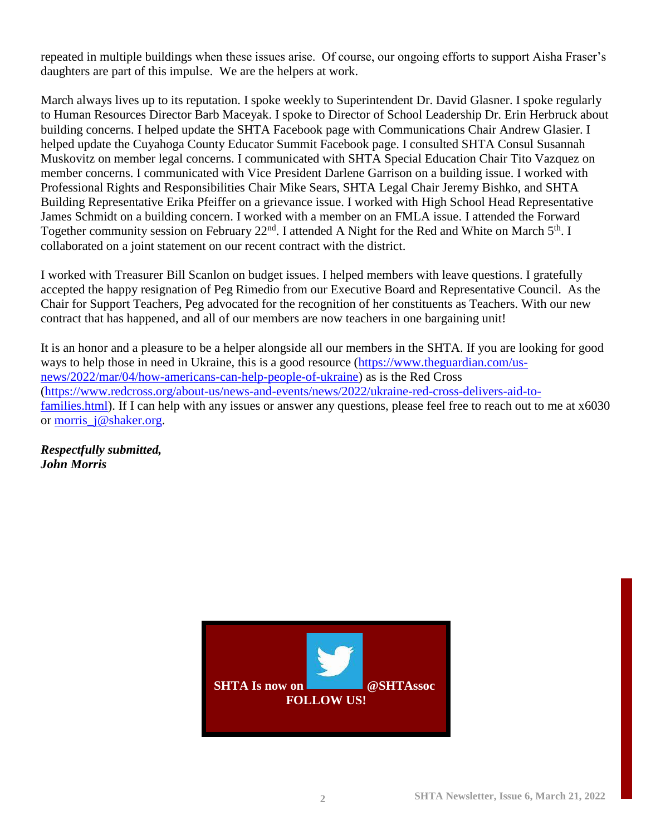repeated in multiple buildings when these issues arise. Of course, our ongoing efforts to support Aisha Fraser's daughters are part of this impulse. We are the helpers at work.

March always lives up to its reputation. I spoke weekly to Superintendent Dr. David Glasner. I spoke regularly to Human Resources Director Barb Maceyak. I spoke to Director of School Leadership Dr. Erin Herbruck about building concerns. I helped update the SHTA Facebook page with Communications Chair Andrew Glasier. I helped update the Cuyahoga County Educator Summit Facebook page. I consulted SHTA Consul Susannah Muskovitz on member legal concerns. I communicated with SHTA Special Education Chair Tito Vazquez on member concerns. I communicated with Vice President Darlene Garrison on a building issue. I worked with Professional Rights and Responsibilities Chair Mike Sears, SHTA Legal Chair Jeremy Bishko, and SHTA Building Representative Erika Pfeiffer on a grievance issue. I worked with High School Head Representative James Schmidt on a building concern. I worked with a member on an FMLA issue. I attended the Forward Together community session on February 22<sup>nd</sup>. I attended A Night for the Red and White on March 5<sup>th</sup>. I collaborated on a joint statement on our recent contract with the district.

I worked with Treasurer Bill Scanlon on budget issues. I helped members with leave questions. I gratefully accepted the happy resignation of Peg Rimedio from our Executive Board and Representative Council. As the Chair for Support Teachers, Peg advocated for the recognition of her constituents as Teachers. With our new contract that has happened, and all of our members are now teachers in one bargaining unit!

It is an honor and a pleasure to be a helper alongside all our members in the SHTA. If you are looking for good ways to help those in need in Ukraine, this is a good resource [\(https://www.theguardian.com/us](https://www.theguardian.com/us-news/2022/mar/04/how-americans-can-help-people-of-ukraine)[news/2022/mar/04/how-americans-can-help-people-of-ukraine\)](https://www.theguardian.com/us-news/2022/mar/04/how-americans-can-help-people-of-ukraine) as is the Red Cross [\(https://www.redcross.org/about-us/news-and-events/news/2022/ukraine-red-cross-delivers-aid-to](https://www.redcross.org/about-us/news-and-events/news/2022/ukraine-red-cross-delivers-aid-to-families.html)[families.html\)](https://www.redcross.org/about-us/news-and-events/news/2022/ukraine-red-cross-delivers-aid-to-families.html). If I can help with any issues or answer any questions, please feel free to reach out to me at  $x6030$ or [morris\\_j@shaker.org.](mailto:morris_j@shaker.org)

*Respectfully submitted, John Morris*

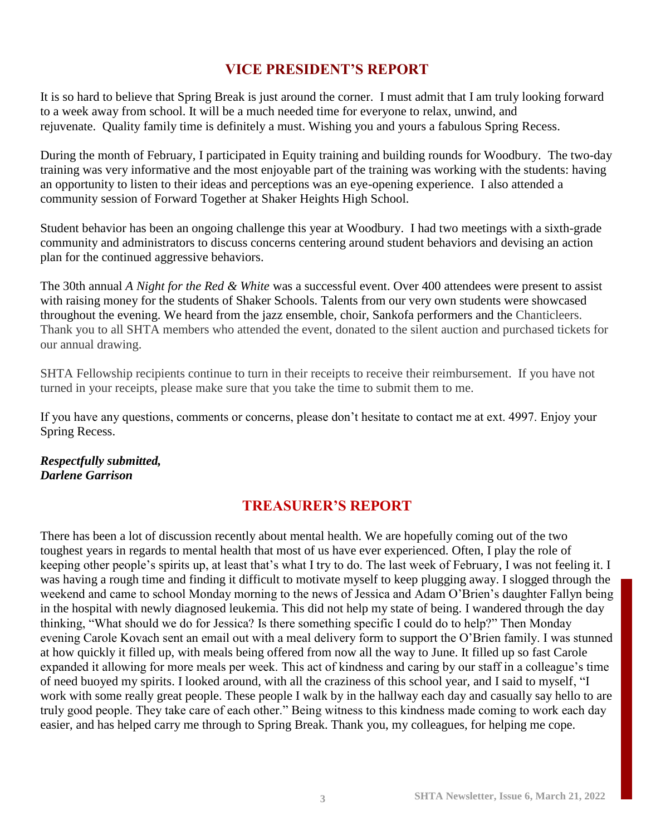## **VICE PRESIDENT'S REPORT**

It is so hard to believe that Spring Break is just around the corner. I must admit that I am truly looking forward to a week away from school. It will be a much needed time for everyone to relax, unwind, and rejuvenate. Quality family time is definitely a must. Wishing you and yours a fabulous Spring Recess.

During the month of February, I participated in Equity training and building rounds for Woodbury. The two-day training was very informative and the most enjoyable part of the training was working with the students: having an opportunity to listen to their ideas and perceptions was an eye-opening experience. I also attended a community session of Forward Together at Shaker Heights High School.

Student behavior has been an ongoing challenge this year at Woodbury. I had two meetings with a sixth-grade community and administrators to discuss concerns centering around student behaviors and devising an action plan for the continued aggressive behaviors.

The 30th annual *A Night for the Red & White* was a successful event. Over 400 attendees were present to assist with raising money for the students of Shaker Schools. Talents from our very own students were showcased throughout the evening. We heard from the jazz ensemble, choir, Sankofa performers and the Chanticleers. Thank you to all SHTA members who attended the event, donated to the silent auction and purchased tickets for our annual drawing.

SHTA Fellowship recipients continue to turn in their receipts to receive their reimbursement. If you have not turned in your receipts, please make sure that you take the time to submit them to me.

If you have any questions, comments or concerns, please don't hesitate to contact me at ext. 4997. Enjoy your Spring Recess.

#### *Respectfully submitted, Darlene Garrison*

## **TREASURER'S REPORT**

There has been a lot of discussion recently about mental health. We are hopefully coming out of the two toughest years in regards to mental health that most of us have ever experienced. Often, I play the role of keeping other people's spirits up, at least that's what I try to do. The last week of February, I was not feeling it. I was having a rough time and finding it difficult to motivate myself to keep plugging away. I slogged through the weekend and came to school Monday morning to the news of Jessica and Adam O'Brien's daughter Fallyn being in the hospital with newly diagnosed leukemia. This did not help my state of being. I wandered through the day thinking, "What should we do for Jessica? Is there something specific I could do to help?" Then Monday evening Carole Kovach sent an email out with a meal delivery form to support the O'Brien family. I was stunned at how quickly it filled up, with meals being offered from now all the way to June. It filled up so fast Carole expanded it allowing for more meals per week. This act of kindness and caring by our staff in a colleague's time of need buoyed my spirits. I looked around, with all the craziness of this school year, and I said to myself, "I work with some really great people. These people I walk by in the hallway each day and casually say hello to are truly good people. They take care of each other." Being witness to this kindness made coming to work each day easier, and has helped carry me through to Spring Break. Thank you, my colleagues, for helping me cope.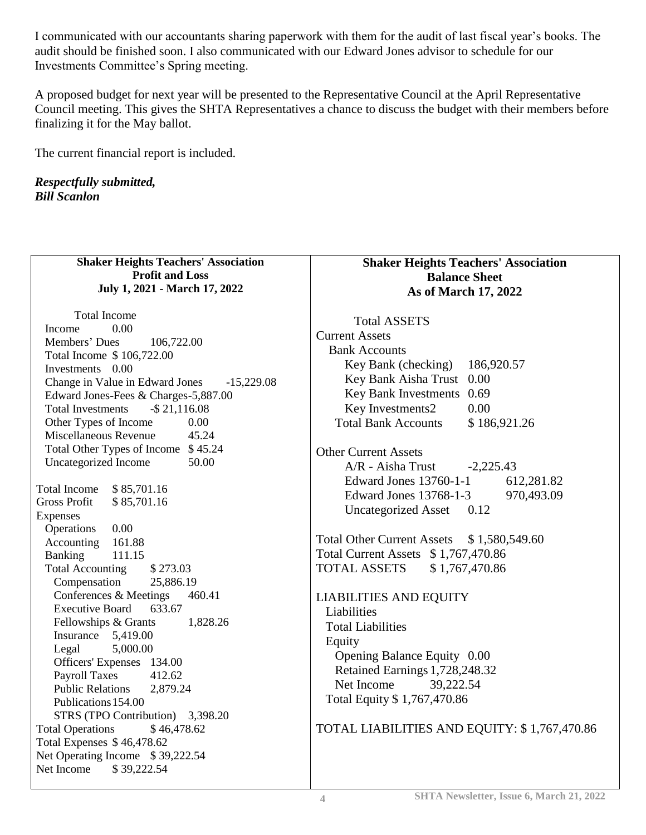I communicated with our accountants sharing paperwork with them for the audit of last fiscal year's books. The audit should be finished soon. I also communicated with our Edward Jones advisor to schedule for our Investments Committee's Spring meeting.

A proposed budget for next year will be presented to the Representative Council at the April Representative Council meeting. This gives the SHTA Representatives a chance to discuss the budget with their members before finalizing it for the May ballot.

The current financial report is included.

*Respectfully submitted, Bill Scanlon*

| <b>Shaker Heights Teachers' Association</b>                 | <b>Shaker Heights Teachers' Association</b>  |
|-------------------------------------------------------------|----------------------------------------------|
| <b>Profit and Loss</b>                                      | <b>Balance Sheet</b>                         |
| July 1, 2021 - March 17, 2022                               | As of March 17, 2022                         |
|                                                             |                                              |
| <b>Total Income</b>                                         | <b>Total ASSETS</b>                          |
| Income<br>0.00                                              | <b>Current Assets</b>                        |
| Members' Dues<br>106,722.00                                 | <b>Bank Accounts</b>                         |
| Total Income \$106,722.00<br>Investments 0.00               | 186,920.57<br>Key Bank (checking)            |
| Change in Value in Edward Jones<br>$-15,229.08$             | Key Bank Aisha Trust 0.00                    |
| Edward Jones-Fees & Charges-5,887.00                        | Key Bank Investments<br>0.69                 |
| $-$ \$21,116.08<br><b>Total Investments</b>                 | Key Investments2<br>0.00                     |
| Other Types of Income<br>0.00                               | <b>Total Bank Accounts</b><br>\$186,921.26   |
| Miscellaneous Revenue<br>45.24                              |                                              |
| Total Other Types of Income \$45.24                         | <b>Other Current Assets</b>                  |
| Uncategorized Income<br>50.00                               |                                              |
|                                                             | A/R - Aisha Trust<br>$-2,225.43$             |
| <b>Total Income</b><br>\$85,701.16                          | Edward Jones 13760-1-1<br>612,281.82         |
| <b>Gross Profit</b><br>\$85,701.16                          | 970,493.09<br>Edward Jones 13768-1-3         |
| Expenses                                                    | <b>Uncategorized Asset</b><br>0.12           |
| 0.00<br>Operations                                          |                                              |
| Accounting<br>161.88                                        | Total Other Current Assets \$1,580,549.60    |
| <b>Banking</b><br>111.15                                    | Total Current Assets \$1,767,470.86          |
| <b>Total Accounting</b><br>\$273.03                         | <b>TOTAL ASSETS</b><br>\$1,767,470.86        |
| Compensation<br>25,886.19                                   |                                              |
| Conferences & Meetings<br>460.41                            | <b>LIABILITIES AND EQUITY</b>                |
| <b>Executive Board</b><br>633.67                            | Liabilities                                  |
| 1,828.26<br>Fellowships & Grants                            | <b>Total Liabilities</b>                     |
| Insurance $5,419.00$                                        | Equity                                       |
| 5,000.00<br>Legal                                           | Opening Balance Equity 0.00                  |
| Officers' Expenses 134.00<br>412.62                         | Retained Earnings 1,728,248.32               |
| <b>Payroll Taxes</b><br><b>Public Relations</b><br>2,879.24 | Net Income<br>39,222.54                      |
| Publications 154.00                                         | Total Equity \$1,767,470.86                  |
| STRS (TPO Contribution) 3,398.20                            |                                              |
| <b>Total Operations</b><br>\$46,478.62                      | TOTAL LIABILITIES AND EQUITY: \$1,767,470.86 |
| Total Expenses \$46,478.62                                  |                                              |
| Net Operating Income \$39,222.54                            |                                              |
| Net Income<br>\$39,222.54                                   |                                              |
|                                                             |                                              |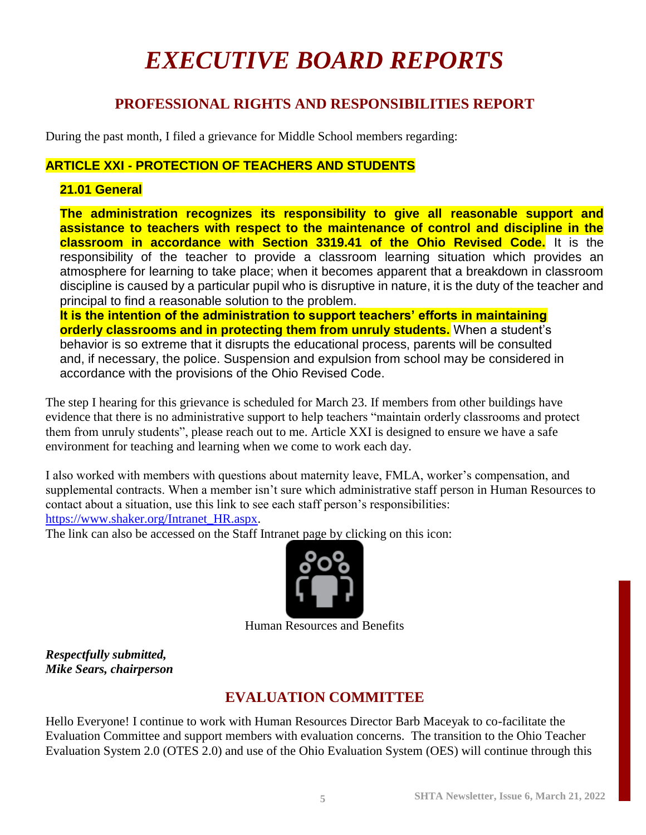# *EXECUTIVE BOARD REPORTS*

## **PROFESSIONAL RIGHTS AND RESPONSIBILITIES REPORT**

During the past month, I filed a grievance for Middle School members regarding:

#### **ARTICLE XXI - PROTECTION OF TEACHERS AND STUDENTS**

#### **21.01 General**

**The administration recognizes its responsibility to give all reasonable support and assistance to teachers with respect to the maintenance of control and discipline in the classroom in accordance with Section 3319.41 of the Ohio Revised Code.** It is the responsibility of the teacher to provide a classroom learning situation which provides an atmosphere for learning to take place; when it becomes apparent that a breakdown in classroom discipline is caused by a particular pupil who is disruptive in nature, it is the duty of the teacher and principal to find a reasonable solution to the problem.

**It is the intention of the administration to support teachers' efforts in maintaining orderly classrooms and in protecting them from unruly students.** When a student's behavior is so extreme that it disrupts the educational process, parents will be consulted and, if necessary, the police. Suspension and expulsion from school may be considered in accordance with the provisions of the Ohio Revised Code.

The step I hearing for this grievance is scheduled for March 23. If members from other buildings have evidence that there is no administrative support to help teachers "maintain orderly classrooms and protect them from unruly students", please reach out to me. Article XXI is designed to ensure we have a safe environment for teaching and learning when we come to work each day.

I also worked with members with questions about maternity leave, FMLA, worker's compensation, and supplemental contracts. When a member isn't sure which administrative staff person in Human Resources to contact about a situation, use this link to see each staff person's responsibilities: [https://www.shaker.org/Intranet\\_HR.aspx.](https://www.shaker.org/Intranet_HR.aspx)

The link can also be accessed on the Staff Intranet page by clicking on this icon:



Human Resources and Benefits

*Respectfully submitted, Mike Sears, chairperson*

## **EVALUATION COMMITTEE**

Hello Everyone! I continue to work with Human Resources Director Barb Maceyak to co-facilitate the Evaluation Committee and support members with evaluation concerns. The transition to the Ohio Teacher Evaluation System 2.0 (OTES 2.0) and use of the Ohio Evaluation System (OES) will continue through this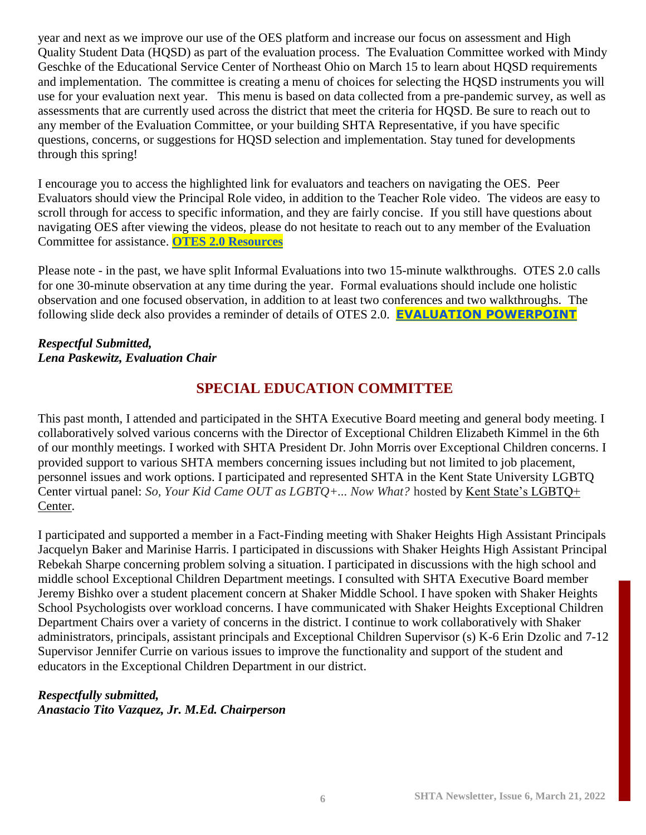year and next as we improve our use of the OES platform and increase our focus on assessment and High Quality Student Data (HQSD) as part of the evaluation process. The Evaluation Committee worked with Mindy Geschke of the Educational Service Center of Northeast Ohio on March 15 to learn about HQSD requirements and implementation. The committee is creating a menu of choices for selecting the HQSD instruments you will use for your evaluation next year. This menu is based on data collected from a pre-pandemic survey, as well as assessments that are currently used across the district that meet the criteria for HQSD. Be sure to reach out to any member of the Evaluation Committee, or your building SHTA Representative, if you have specific questions, concerns, or suggestions for HQSD selection and implementation. Stay tuned for developments through this spring!

I encourage you to access the highlighted link for evaluators and teachers on navigating the OES. Peer Evaluators should view the Principal Role video, in addition to the Teacher Role video. The videos are easy to scroll through for access to specific information, and they are fairly concise. If you still have questions about navigating OES after viewing the videos, please do not hesitate to reach out to any member of the Evaluation Committee for assistance. **[OTES 2.0 Resources](https://docs.google.com/presentation/d/1ImaSSHvfdLwOFLSazlR9qKckTUw2CvPT2Udyc1W_rrQ/edit?usp=sharing)**

Please note - in the past, we have split Informal Evaluations into two 15-minute walkthroughs. OTES 2.0 calls for one 30-minute observation at any time during the year. Formal evaluations should include one holistic observation and one focused observation, in addition to at least two conferences and two walkthroughs. The following slide deck also provides a reminder of details of OTES 2.0. **[EVALUATION POWERPOINT](https://docs.google.com/presentation/u/0/d/1wPm_xsDTMM6KvPoBJNRmiu57GkP1AyTQl51-iMB971Q/edit)**

#### *Respectful Submitted, Lena Paskewitz, Evaluation Chair*

## **SPECIAL EDUCATION COMMITTEE**

This past month, I attended and participated in the SHTA Executive Board meeting and general body meeting. I collaboratively solved various concerns with the Director of Exceptional Children Elizabeth Kimmel in the 6th of our monthly meetings. I worked with SHTA President Dr. John Morris over Exceptional Children concerns. I provided support to various SHTA members concerning issues including but not limited to job placement, personnel issues and work options. I participated and represented SHTA in the Kent State University LGBTQ Center virtual panel: *So, Your Kid Came OUT as LGBTQ+... Now What?* hosted by [Kent State's LGBTQ+](https://www.kent.edu/lgbtq)  [Center.](https://www.kent.edu/lgbtq)

I participated and supported a member in a Fact-Finding meeting with Shaker Heights High Assistant Principals Jacquelyn Baker and Marinise Harris. I participated in discussions with Shaker Heights High Assistant Principal Rebekah Sharpe concerning problem solving a situation. I participated in discussions with the high school and middle school Exceptional Children Department meetings. I consulted with SHTA Executive Board member Jeremy Bishko over a student placement concern at Shaker Middle School. I have spoken with Shaker Heights School Psychologists over workload concerns. I have communicated with Shaker Heights Exceptional Children Department Chairs over a variety of concerns in the district. I continue to work collaboratively with Shaker administrators, principals, assistant principals and Exceptional Children Supervisor (s) K-6 Erin Dzolic and 7-12 Supervisor Jennifer Currie on various issues to improve the functionality and support of the student and educators in the Exceptional Children Department in our district.

#### *Respectfully submitted,*

*Anastacio Tito Vazquez, Jr. M.Ed. Chairperson*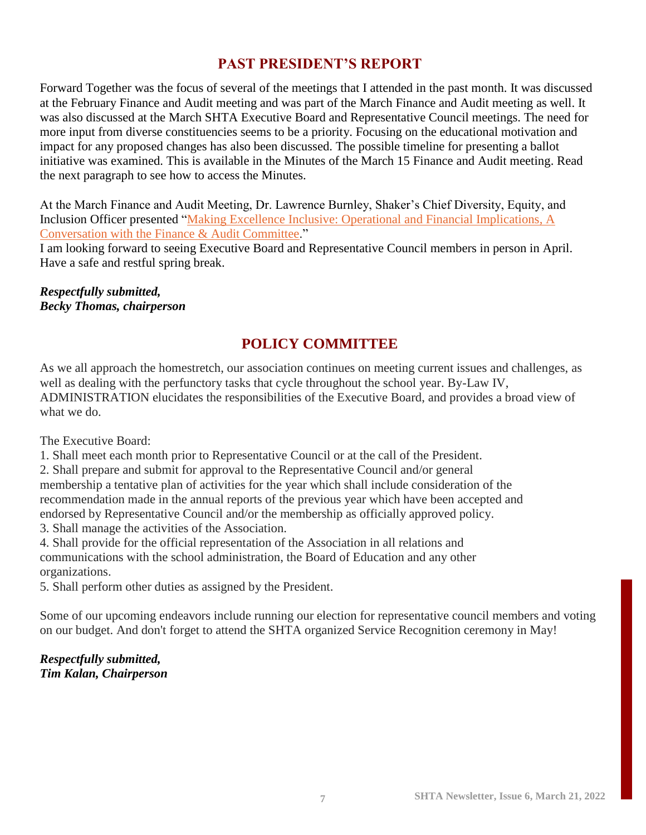## **PAST PRESIDENT'S REPORT**

Forward Together was the focus of several of the meetings that I attended in the past month. It was discussed at the February Finance and Audit meeting and was part of the March Finance and Audit meeting as well. It was also discussed at the March SHTA Executive Board and Representative Council meetings. The need for more input from diverse constituencies seems to be a priority. Focusing on the educational motivation and impact for any proposed changes has also been discussed. The possible timeline for presenting a ballot initiative was examined. This is available in the Minutes of the March 15 Finance and Audit meeting. Read the next paragraph to see how to access the Minutes.

At the March Finance and Audit Meeting, Dr. Lawrence Burnley, Shaker's Chief Diversity, Equity, and Inclusion Officer presented ["Making Excellence Inclusive: Operational and Financial Implications,](https://go.boarddocs.com/oh/shaker/fac/Board.nsf/files/CCJJ9L4C1A7E/$file/Finance%20%26%20Audit%20Conversation%20-%20DEI.pdf) A [Conversation with the Finance & Audit Committee.](https://go.boarddocs.com/oh/shaker/fac/Board.nsf/files/CCJJ9L4C1A7E/$file/Finance%20%26%20Audit%20Conversation%20-%20DEI.pdf)"

I am looking forward to seeing Executive Board and Representative Council members in person in April. Have a safe and restful spring break.

*Respectfully submitted, Becky Thomas, chairperson*

## **POLICY COMMITTEE**

As we all approach the homestretch, our association continues on meeting current issues and challenges, as well as dealing with the perfunctory tasks that cycle throughout the school year. By-Law IV, ADMINISTRATION elucidates the responsibilities of the Executive Board, and provides a broad view of what we do.

The Executive Board:

1. Shall meet each month prior to Representative Council or at the call of the President.

2. Shall prepare and submit for approval to the Representative Council and/or general membership a tentative plan of activities for the year which shall include consideration of the recommendation made in the annual reports of the previous year which have been accepted and endorsed by Representative Council and/or the membership as officially approved policy.

3. Shall manage the activities of the Association.

4. Shall provide for the official representation of the Association in all relations and communications with the school administration, the Board of Education and any other organizations.

5. Shall perform other duties as assigned by the President.

Some of our upcoming endeavors include running our election for representative council members and voting on our budget. And don't forget to attend the SHTA organized Service Recognition ceremony in May!

#### *Respectfully submitted, Tim Kalan, Chairperson*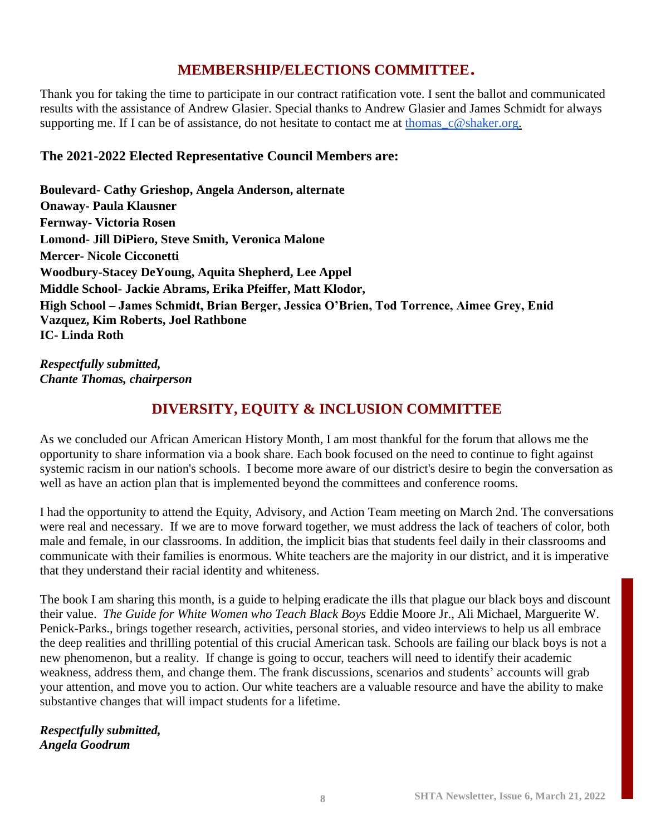## **MEMBERSHIP/ELECTIONS COMMITTEE**.

Thank you for taking the time to participate in our contract ratification vote. I sent the ballot and communicated results with the assistance of Andrew Glasier. Special thanks to Andrew Glasier and James Schmidt for always supporting me. If I can be of assistance, do not hesitate to contact me at thomas  $c@shaker.org$ .

#### **The 2021-2022 Elected Representative Council Members are:**

**Boulevard- Cathy Grieshop, Angela Anderson, alternate Onaway- Paula Klausner Fernway- Victoria Rosen Lomond- Jill DiPiero, Steve Smith, Veronica Malone Mercer- Nicole Cicconetti Woodbury-Stacey DeYoung, Aquita Shepherd, Lee Appel Middle School- Jackie Abrams, Erika Pfeiffer, Matt Klodor, High School – James Schmidt, Brian Berger, Jessica O'Brien, Tod Torrence, Aimee Grey, Enid Vazquez, Kim Roberts, Joel Rathbone IC- Linda Roth**

*Respectfully submitted, Chante Thomas, chairperson*

## **DIVERSITY, EQUITY & INCLUSION COMMITTEE**

As we concluded our African American History Month, I am most thankful for the forum that allows me the opportunity to share information via a book share. Each book focused on the need to continue to fight against systemic racism in our nation's schools. I become more aware of our district's desire to begin the conversation as well as have an action plan that is implemented beyond the committees and conference rooms.

I had the opportunity to attend the Equity, Advisory, and Action Team meeting on March 2nd. The conversations were real and necessary. If we are to move forward together, we must address the lack of teachers of color, both male and female, in our classrooms. In addition, the implicit bias that students feel daily in their classrooms and communicate with their families is enormous. White teachers are the majority in our district, and it is imperative that they understand their racial identity and whiteness.

The book I am sharing this month, is a guide to helping eradicate the ills that plague our black boys and discount their value. *The Guide for White Women who Teach Black Boys* Eddie Moore Jr., Ali Michael, Marguerite W. Penick-Parks., brings together research, activities, personal stories, and video interviews to help us all embrace the deep realities and thrilling potential of this crucial American task. Schools are failing our black boys is not a new phenomenon, but a reality. If change is going to occur, teachers will need to identify their academic weakness, address them, and change them. The frank discussions, scenarios and students' accounts will grab your attention, and move you to action. Our white teachers are a valuable resource and have the ability to make substantive changes that will impact students for a lifetime.

*Respectfully submitted, Angela Goodrum*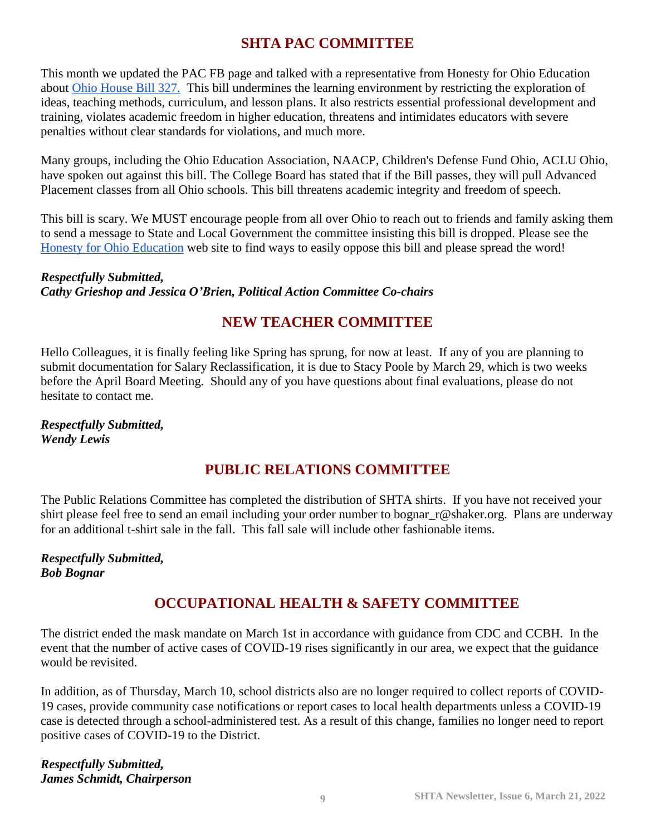## **SHTA PAC COMMITTEE**

This month we updated the PAC FB page and talked with a representative from Honesty for Ohio Education about [Ohio House Bill 327.](https://www.honestyforohioeducation.info/hb-327.html) This bill undermines the learning environment by restricting the exploration of ideas, teaching methods, curriculum, and lesson plans. It also restricts essential professional development and training, violates academic freedom in higher education, threatens and intimidates educators with severe penalties without clear standards for violations, and much more.

Many groups, including the Ohio Education Association, NAACP, Children's Defense Fund Ohio, ACLU Ohio, have spoken out against this bill. The College Board has stated that if the Bill passes, they will pull Advanced Placement classes from all Ohio schools. This bill threatens academic integrity and freedom of speech.

This bill is scary. We MUST encourage people from all over Ohio to reach out to friends and family asking them to send a message to State and Local Government the committee insisting this bill is dropped. Please see the [Honesty for Ohio Education](https://www.honestyforohioeducation.info/hb-327.html) web site to find ways to easily oppose this bill and please spread the word!

#### *Respectfully Submitted, Cathy Grieshop and Jessica O'Brien, Political Action Committee Co-chairs*

## **NEW TEACHER COMMITTEE**

Hello Colleagues, it is finally feeling like Spring has sprung, for now at least. If any of you are planning to submit documentation for Salary Reclassification, it is due to Stacy Poole by March 29, which is two weeks before the April Board Meeting. Should any of you have questions about final evaluations, please do not hesitate to contact me.

*Respectfully Submitted, Wendy Lewis*

## **PUBLIC RELATIONS COMMITTEE**

The Public Relations Committee has completed the distribution of SHTA shirts. If you have not received your shirt please feel free to send an email including your order number to bognar r@shaker.org. Plans are underway for an additional t-shirt sale in the fall. This fall sale will include other fashionable items.

*Respectfully Submitted, Bob Bognar*

## **OCCUPATIONAL HEALTH & SAFETY COMMITTEE**

The district ended the mask mandate on March 1st in accordance with guidance from CDC and CCBH. In the event that the number of active cases of COVID-19 rises significantly in our area, we expect that the guidance would be revisited.

In addition, as of Thursday, March 10, school districts also are no longer required to collect reports of COVID-19 cases, provide community case notifications or report cases to local health departments unless a COVID-19 case is detected through a school-administered test. As a result of this change, families no longer need to report positive cases of COVID-19 to the District.

*Respectfully Submitted, James Schmidt, Chairperson*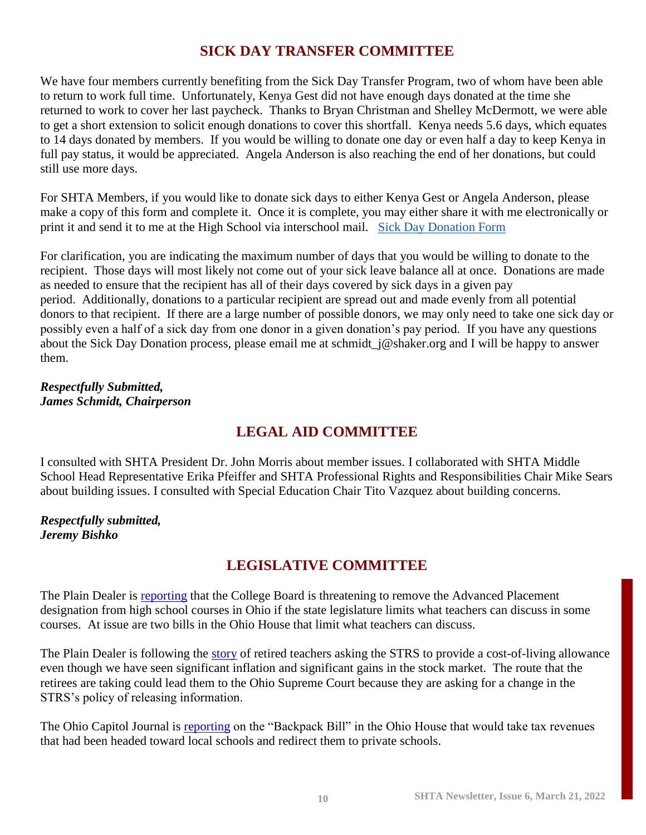## **SICK DAY TRANSFER COMMITTEE**

We have four members currently benefiting from the Sick Day Transfer Program, two of whom have been able to return to work full time. Unfortunately, Kenya Gest did not have enough days donated at the time she returned to work to cover her last paycheck. Thanks to Bryan Christman and Shelley McDermott, we were able to get a short extension to solicit enough donations to cover this shortfall. Kenya needs 5.6 days, which equates to 14 days donated by members. If you would be willing to donate one day or even half a day to keep Kenya in full pay status, it would be appreciated. Angela Anderson is also reaching the end of her donations, but could still use more days.

For SHTA Members, if you would like to donate sick days to either Kenya Gest or Angela Anderson, please make a copy of this form and complete it. Once it is complete, you may either share it with me electronically or print it and send it to me at the High School via interschool mail. [Sick Day Donation Form](https://docs.google.com/document/d/1oCPv0Knm1IfB38w8WiyMfNT9GSArN8m4crlRm3M-RxU/edit?usp=sharing)

For clarification, you are indicating the maximum number of days that you would be willing to donate to the recipient. Those days will most likely not come out of your sick leave balance all at once. Donations are made as needed to ensure that the recipient has all of their days covered by sick days in a given pay period. Additionally, donations to a particular recipient are spread out and made evenly from all potential donors to that recipient. If there are a large number of possible donors, we may only need to take one sick day or possibly even a half of a sick day from one donor in a given donation's pay period. If you have any questions about the Sick Day Donation process, please email me at schmidt  $j@shaker.org$  and I will be happy to answer them.

*Respectfully Submitted, James Schmidt, Chairperson*

## **LEGAL AID COMMITTEE**

I consulted with SHTA President Dr. John Morris about member issues. I collaborated with SHTA Middle School Head Representative Erika Pfeiffer and SHTA Professional Rights and Responsibilities Chair Mike Sears about building issues. I consulted with Special Education Chair Tito Vazquez about building concerns.

*Respectfully submitted, Jeremy Bishko*

## **LEGISLATIVE COMMITTEE**

The Plain Dealer is [reporting](https://www.cleveland.com/news/2022/03/ohio-high-schoolers-in-ap-courses-may-not-get-college-credit-if-two-bills-in-the-legislature-become-law.html) that the College Board is threatening to remove the Advanced Placement designation from high school courses in Ohio if the state legislature limits what teachers can discuss in some courses. At issue are two bills in the Ohio House that limit what teachers can discuss.

The Plain Dealer is following the [story](https://www.cleveland.com/staff/lahancock/posts.html) of retired teachers asking the STRS to provide a cost-of-living allowance even though we have seen significant inflation and significant gains in the stock market. The route that the retirees are taking could lead them to the Ohio Supreme Court because they are asking for a change in the STRS's policy of releasing information.

The Ohio Capitol Journal is [reporting](https://ohiocapitaljournal.com/2022/02/17/ohio-house-considers-bill-for-students-to-use-public-school-money-for-private-schools/) on the "Backpack Bill" in the Ohio House that would take tax revenues that had been headed toward local schools and redirect them to private schools.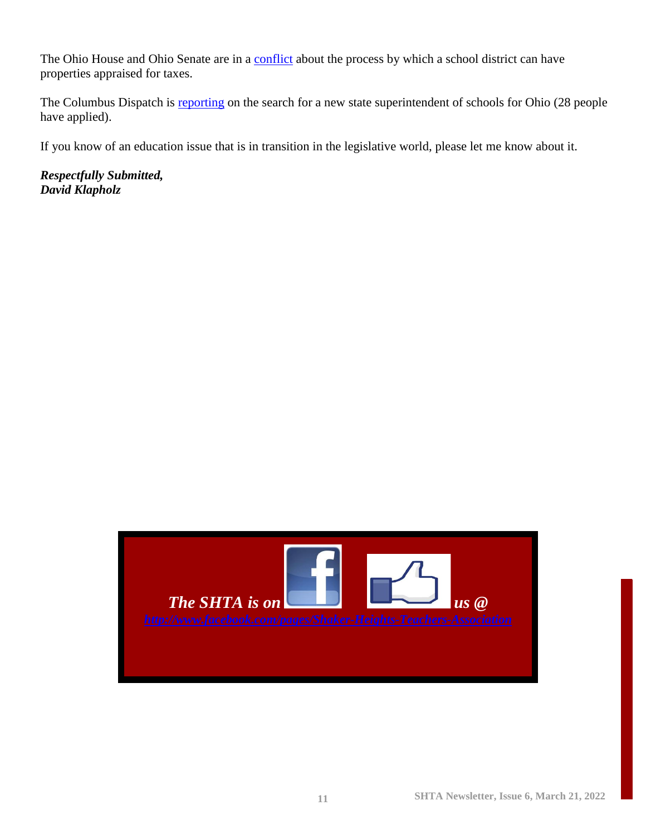The Ohio House and Ohio Senate are in a [conflict](https://www.cleveland.com/news/2022/03/ohio-house-rejects-senates-version-of-bill-limiting-how-school-districts-challenge-property-values-at-boards-of-revision.html) about the process by which a school district can have properties appraised for taxes.

The Columbus Dispatch is [reporting](https://www.dispatch.com/story/news/education/2022/03/07/who-applied-ohio-state-superintendent-heres-list/9345071002/) on the search for a new state superintendent of schools for Ohio (28 people have applied).

If you know of an education issue that is in transition in the legislative world, please let me know about it.

*Respectfully Submitted, David Klapholz*

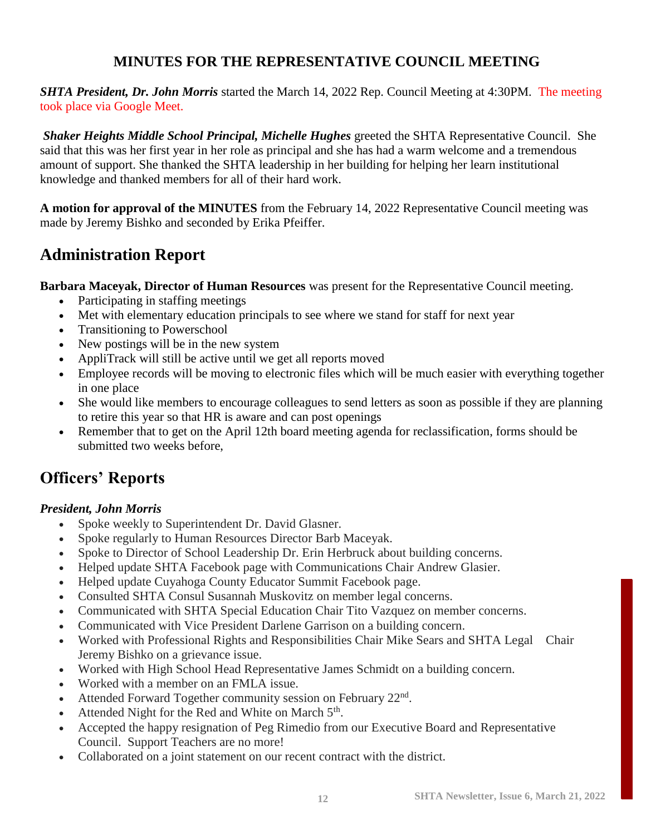## **MINUTES FOR THE REPRESENTATIVE COUNCIL MEETING**

*SHTA President, Dr. John Morris* started the March 14, 2022 Rep. Council Meeting at 4:30PM. The meeting took place via Google Meet.

*Shaker Heights Middle School Principal, Michelle Hughes* greeted the SHTA Representative Council. She said that this was her first year in her role as principal and she has had a warm welcome and a tremendous amount of support. She thanked the SHTA leadership in her building for helping her learn institutional knowledge and thanked members for all of their hard work.

**A motion for approval of the MINUTES** from the February 14, 2022 Representative Council meeting was made by Jeremy Bishko and seconded by Erika Pfeiffer.

## **Administration Report**

**Barbara Maceyak, Director of Human Resources** was present for the Representative Council meeting.

- Participating in staffing meetings
- Met with elementary education principals to see where we stand for staff for next year
- Transitioning to Powerschool
- New postings will be in the new system
- AppliTrack will still be active until we get all reports moved
- Employee records will be moving to electronic files which will be much easier with everything together in one place
- She would like members to encourage colleagues to send letters as soon as possible if they are planning to retire this year so that HR is aware and can post openings
- Remember that to get on the April 12th board meeting agenda for reclassification, forms should be submitted two weeks before,

## **Officers' Reports**

#### *President, John Morris*

- Spoke weekly to Superintendent Dr. David Glasner.
- Spoke regularly to Human Resources Director Barb Maceyak.
- Spoke to Director of School Leadership Dr. Erin Herbruck about building concerns.
- Helped update SHTA Facebook page with Communications Chair Andrew Glasier.
- Helped update Cuyahoga County Educator Summit Facebook page.
- Consulted SHTA Consul Susannah Muskovitz on member legal concerns.
- Communicated with SHTA Special Education Chair Tito Vazquez on member concerns.
- Communicated with Vice President Darlene Garrison on a building concern.
- Worked with Professional Rights and Responsibilities Chair Mike Sears and SHTA Legal Chair Jeremy Bishko on a grievance issue.
- Worked with High School Head Representative James Schmidt on a building concern.
- Worked with a member on an FMLA issue.
- Attended Forward Together community session on February  $22<sup>nd</sup>$ .
- Attended Night for the Red and White on March 5<sup>th</sup>.
- Accepted the happy resignation of Peg Rimedio from our Executive Board and Representative Council. Support Teachers are no more!
- Collaborated on a joint statement on our recent contract with the district.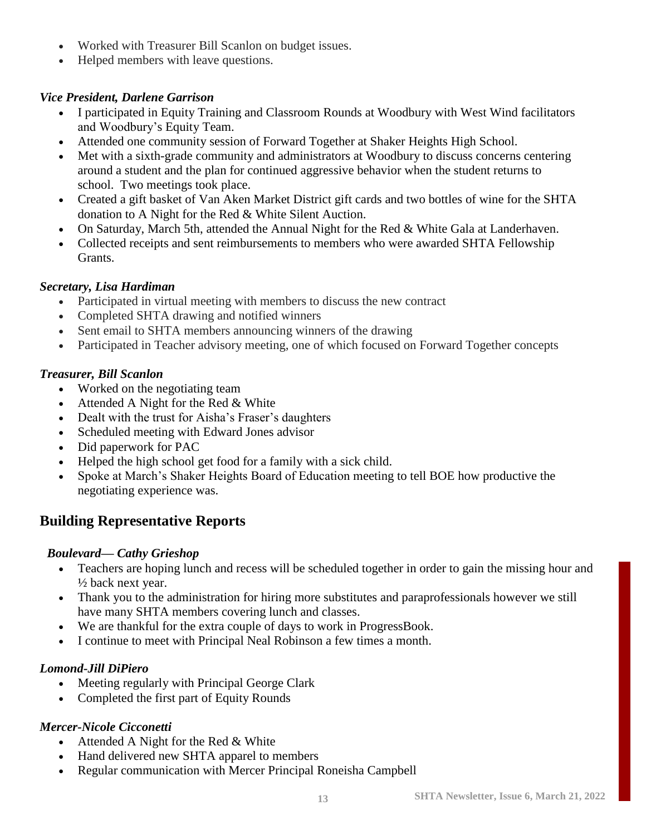- Worked with Treasurer Bill Scanlon on budget issues.
- Helped members with leave questions.

#### *Vice President, Darlene Garrison*

- I participated in Equity Training and Classroom Rounds at Woodbury with West Wind facilitators and Woodbury's Equity Team.
- Attended one community session of Forward Together at Shaker Heights High School.
- Met with a sixth-grade community and administrators at Woodbury to discuss concerns centering around a student and the plan for continued aggressive behavior when the student returns to school. Two meetings took place.
- Created a gift basket of Van Aken Market District gift cards and two bottles of wine for the SHTA donation to A Night for the Red & White Silent Auction.
- On Saturday, March 5th, attended the Annual Night for the Red & White Gala at Landerhaven.
- Collected receipts and sent reimbursements to members who were awarded SHTA Fellowship Grants.

#### *Secretary, Lisa Hardiman*

- Participated in virtual meeting with members to discuss the new contract
- Completed SHTA drawing and notified winners
- Sent email to SHTA members announcing winners of the drawing
- Participated in Teacher advisory meeting, one of which focused on Forward Together concepts

#### *Treasurer, Bill Scanlon*

- Worked on the negotiating team
- Attended A Night for the Red & White
- Dealt with the trust for Aisha's Fraser's daughters
- Scheduled meeting with Edward Jones advisor
- Did paperwork for PAC
- Helped the high school get food for a family with a sick child.
- Spoke at March's Shaker Heights Board of Education meeting to tell BOE how productive the negotiating experience was.

## **Building Representative Reports**

#### *Boulevard— Cathy Grieshop*

- Teachers are hoping lunch and recess will be scheduled together in order to gain the missing hour and ½ back next year.
- Thank you to the administration for hiring more substitutes and paraprofessionals however we still have many SHTA members covering lunch and classes.
- We are thankful for the extra couple of days to work in ProgressBook.
- I continue to meet with Principal Neal Robinson a few times a month.

#### *Lomond-Jill DiPiero*

- Meeting regularly with Principal George Clark
- Completed the first part of Equity Rounds

#### *Mercer-Nicole Cicconetti*

- Attended A Night for the Red & White
- Hand delivered new SHTA apparel to members
- Regular communication with Mercer Principal Roneisha Campbell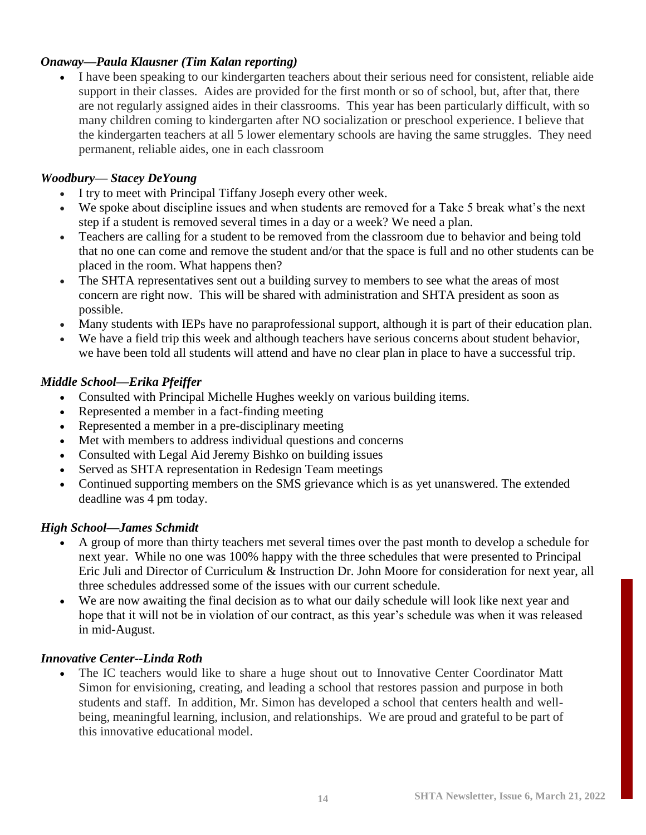#### *Onaway—Paula Klausner (Tim Kalan reporting)*

• I have been speaking to our kindergarten teachers about their serious need for consistent, reliable aide support in their classes. Aides are provided for the first month or so of school, but, after that, there are not regularly assigned aides in their classrooms. This year has been particularly difficult, with so many children coming to kindergarten after NO socialization or preschool experience. I believe that the kindergarten teachers at all 5 lower elementary schools are having the same struggles. They need permanent, reliable aides, one in each classroom

#### *Woodbury— Stacey DeYoung*

- I try to meet with Principal Tiffany Joseph every other week.
- We spoke about discipline issues and when students are removed for a Take 5 break what's the next step if a student is removed several times in a day or a week? We need a plan.
- Teachers are calling for a student to be removed from the classroom due to behavior and being told that no one can come and remove the student and/or that the space is full and no other students can be placed in the room. What happens then?
- The SHTA representatives sent out a building survey to members to see what the areas of most concern are right now. This will be shared with administration and SHTA president as soon as possible.
- Many students with IEPs have no paraprofessional support, although it is part of their education plan.
- We have a field trip this week and although teachers have serious concerns about student behavior, we have been told all students will attend and have no clear plan in place to have a successful trip.

#### *Middle School—Erika Pfeiffer*

- Consulted with Principal Michelle Hughes weekly on various building items.
- Represented a member in a fact-finding meeting
- Represented a member in a pre-disciplinary meeting
- Met with members to address individual questions and concerns
- Consulted with Legal Aid Jeremy Bishko on building issues
- Served as SHTA representation in Redesign Team meetings
- Continued supporting members on the SMS grievance which is as yet unanswered. The extended deadline was 4 pm today.

#### *High School—James Schmidt*

- A group of more than thirty teachers met several times over the past month to develop a schedule for next year. While no one was 100% happy with the three schedules that were presented to Principal Eric Juli and Director of Curriculum & Instruction Dr. John Moore for consideration for next year, all three schedules addressed some of the issues with our current schedule.
- We are now awaiting the final decision as to what our daily schedule will look like next year and hope that it will not be in violation of our contract, as this year's schedule was when it was released in mid-August.

#### *Innovative Center--Linda Roth*

• The IC teachers would like to share a huge shout out to Innovative Center Coordinator Matt Simon for envisioning, creating, and leading a school that restores passion and purpose in both students and staff. In addition, Mr. Simon has developed a school that centers health and wellbeing, meaningful learning, inclusion, and relationships. We are proud and grateful to be part of this innovative educational model.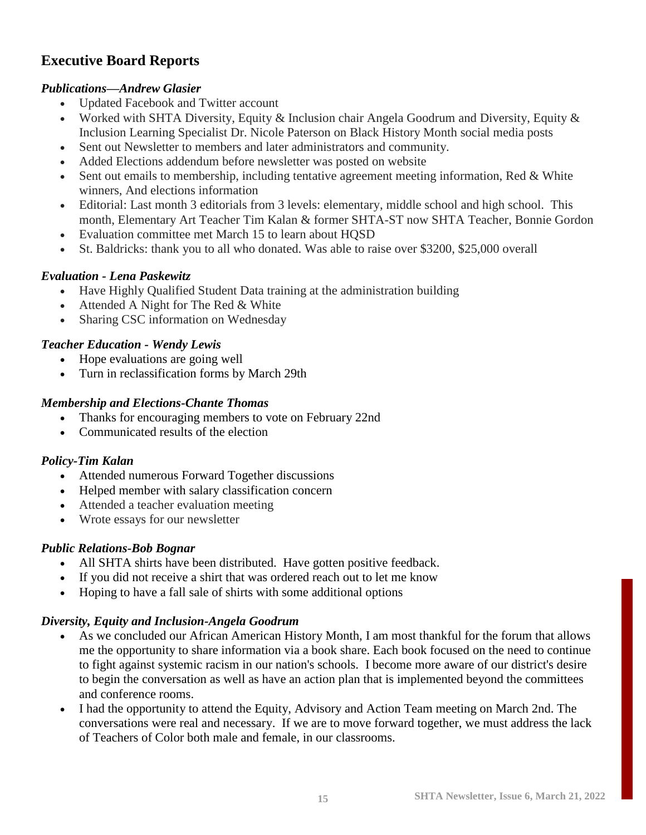## **Executive Board Reports**

#### *Publications—Andrew Glasier*

- Updated Facebook and Twitter account
- Worked with SHTA Diversity, Equity & Inclusion chair Angela Goodrum and Diversity, Equity & Inclusion Learning Specialist Dr. Nicole Paterson on Black History Month social media posts
- Sent out Newsletter to members and later administrators and community.
- Added Elections addendum before newsletter was posted on website
- Sent out emails to membership, including tentative agreement meeting information, Red & White winners, And elections information
- Editorial: Last month 3 editorials from 3 levels: elementary, middle school and high school. This month, Elementary Art Teacher Tim Kalan & former SHTA-ST now SHTA Teacher, Bonnie Gordon
- Evaluation committee met March 15 to learn about HQSD
- St. Baldricks: thank you to all who donated. Was able to raise over \$3200, \$25,000 overall

#### *Evaluation - Lena Paskewitz*

- Have Highly Qualified Student Data training at the administration building
- Attended A Night for The Red & White
- Sharing CSC information on Wednesday

#### *Teacher Education - Wendy Lewis*

- Hope evaluations are going well
- Turn in reclassification forms by March 29th

#### *Membership and Elections-Chante Thomas*

- Thanks for encouraging members to vote on February 22nd
- Communicated results of the election

#### *Policy-Tim Kalan*

- Attended numerous Forward Together discussions
- Helped member with salary classification concern
- Attended a teacher evaluation meeting
- Wrote essays for our newsletter

#### *Public Relations-Bob Bognar*

- All SHTA shirts have been distributed. Have gotten positive feedback.
- If you did not receive a shirt that was ordered reach out to let me know
- Hoping to have a fall sale of shirts with some additional options

#### *Diversity, Equity and Inclusion-Angela Goodrum*

- As we concluded our African American History Month, I am most thankful for the forum that allows me the opportunity to share information via a book share. Each book focused on the need to continue to fight against systemic racism in our nation's schools. I become more aware of our district's desire to begin the conversation as well as have an action plan that is implemented beyond the committees and conference rooms.
- I had the opportunity to attend the Equity, Advisory and Action Team meeting on March 2nd. The conversations were real and necessary. If we are to move forward together, we must address the lack of Teachers of Color both male and female, in our classrooms.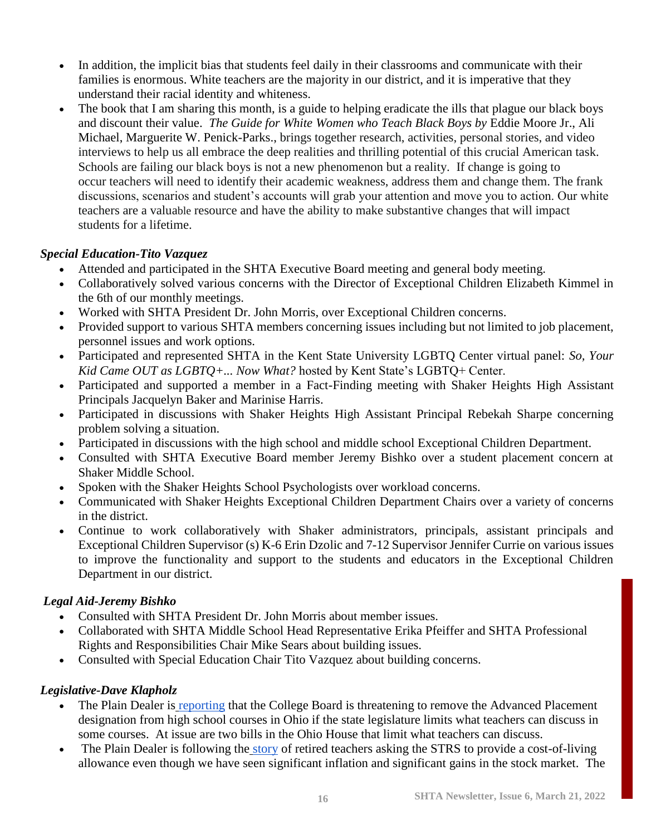- In addition, the implicit bias that students feel daily in their classrooms and communicate with their families is enormous. White teachers are the majority in our district, and it is imperative that they understand their racial identity and whiteness.
- The book that I am sharing this month, is a guide to helping eradicate the ills that plague our black boys and discount their value. *The Guide for White Women who Teach Black Boys by* Eddie Moore Jr., Ali Michael, Marguerite W. Penick-Parks., brings together research, activities, personal stories, and video interviews to help us all embrace the deep realities and thrilling potential of this crucial American task. Schools are failing our black boys is not a new phenomenon but a reality. If change is going to occur teachers will need to identify their academic weakness, address them and change them. The frank discussions, scenarios and student's accounts will grab your attention and move you to action. Our white teachers are a valuable resource and have the ability to make substantive changes that will impact students for a lifetime.

#### *Special Education-Tito Vazquez*

- Attended and participated in the SHTA Executive Board meeting and general body meeting.
- Collaboratively solved various concerns with the Director of Exceptional Children Elizabeth Kimmel in the 6th of our monthly meetings.
- Worked with SHTA President Dr. John Morris, over Exceptional Children concerns.
- Provided support to various SHTA members concerning issues including but not limited to job placement, personnel issues and work options.
- Participated and represented SHTA in the Kent State University LGBTQ Center virtual panel: *So, Your Kid Came OUT as LGBTQ+... Now What?* hosted by Kent State's LGBTQ+ Center.
- Participated and supported a member in a Fact-Finding meeting with Shaker Heights High Assistant Principals Jacquelyn Baker and Marinise Harris.
- Participated in discussions with Shaker Heights High Assistant Principal Rebekah Sharpe concerning problem solving a situation.
- Participated in discussions with the high school and middle school Exceptional Children Department.
- Consulted with SHTA Executive Board member Jeremy Bishko over a student placement concern at Shaker Middle School.
- Spoken with the Shaker Heights School Psychologists over workload concerns.
- Communicated with Shaker Heights Exceptional Children Department Chairs over a variety of concerns in the district.
- Continue to work collaboratively with Shaker administrators, principals, assistant principals and Exceptional Children Supervisor (s) K-6 Erin Dzolic and 7-12 Supervisor Jennifer Currie on various issues to improve the functionality and support to the students and educators in the Exceptional Children Department in our district.

#### *Legal Aid-Jeremy Bishko*

- Consulted with SHTA President Dr. John Morris about member issues.
- Collaborated with SHTA Middle School Head Representative Erika Pfeiffer and SHTA Professional Rights and Responsibilities Chair Mike Sears about building issues.
- Consulted with Special Education Chair Tito Vazquez about building concerns.

#### *Legislative-Dave Klapholz*

- The Plain Dealer is [reporting](https://www.cleveland.com/news/2022/03/ohio-high-schoolers-in-ap-courses-may-not-get-college-credit-if-two-bills-in-the-legislature-become-law.html) that the College Board is threatening to remove the Advanced Placement designation from high school courses in Ohio if the state legislature limits what teachers can discuss in some courses. At issue are two bills in the Ohio House that limit what teachers can discuss.
- The Plain Dealer is following the [story](https://www.cleveland.com/staff/lahancock/posts.html) of retired teachers asking the STRS to provide a cost-of-living allowance even though we have seen significant inflation and significant gains in the stock market. The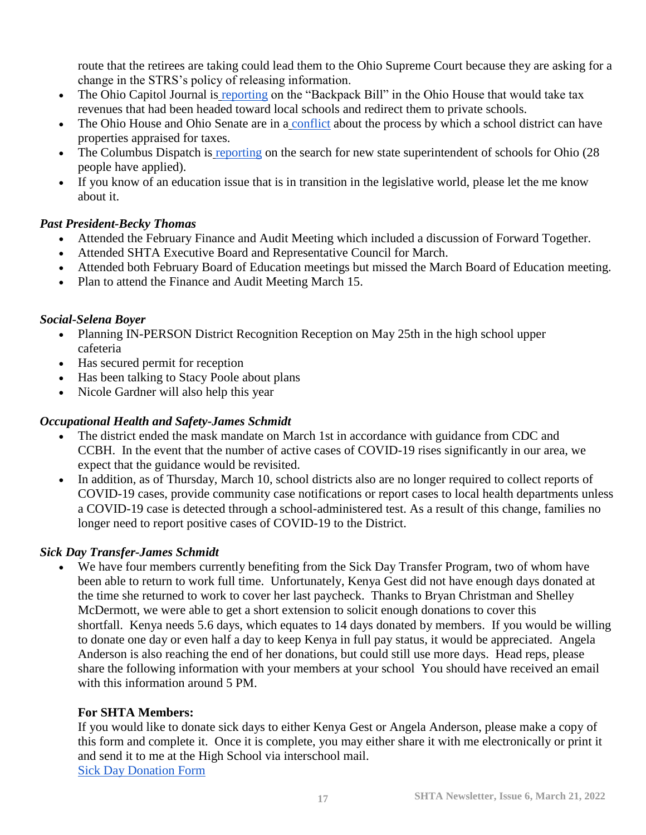route that the retirees are taking could lead them to the Ohio Supreme Court because they are asking for a change in the STRS's policy of releasing information.

- The Ohio Capitol Journal is [reporting](https://ohiocapitaljournal.com/2022/02/17/ohio-house-considers-bill-for-students-to-use-public-school-money-for-private-schools/) on the "Backpack Bill" in the Ohio House that would take tax revenues that had been headed toward local schools and redirect them to private schools.
- The Ohio House and Ohio Senate are in a [conflict](https://www.cleveland.com/news/2022/03/ohio-house-rejects-senates-version-of-bill-limiting-how-school-districts-challenge-property-values-at-boards-of-revision.html) about the process by which a school district can have properties appraised for taxes.
- The Columbus Dispatch is [reporting](https://www.dispatch.com/story/news/education/2022/03/07/who-applied-ohio-state-superintendent-heres-list/9345071002/) on the search for new state superintendent of schools for Ohio (28) people have applied).
- If you know of an education issue that is in transition in the legislative world, please let the me know about it.

#### *Past President-Becky Thomas*

- Attended the February Finance and Audit Meeting which included a discussion of Forward Together.
- Attended SHTA Executive Board and Representative Council for March.
- Attended both February Board of Education meetings but missed the March Board of Education meeting.
- Plan to attend the Finance and Audit Meeting March 15.

#### *Social-Selena Boyer*

- Planning IN-PERSON District Recognition Reception on May 25th in the high school upper cafeteria
- Has secured permit for reception
- Has been talking to Stacy Poole about plans
- Nicole Gardner will also help this year

#### *Occupational Health and Safety-James Schmidt*

- The district ended the mask mandate on March 1st in accordance with guidance from CDC and CCBH. In the event that the number of active cases of COVID-19 rises significantly in our area, we expect that the guidance would be revisited.
- In addition, as of Thursday, March 10, school districts also are no longer required to collect reports of COVID-19 cases, provide community case notifications or report cases to local health departments unless a COVID-19 case is detected through a school-administered test. As a result of this change, families no longer need to report positive cases of COVID-19 to the District.

#### *Sick Day Transfer-James Schmidt*

• We have four members currently benefiting from the Sick Day Transfer Program, two of whom have been able to return to work full time. Unfortunately, Kenya Gest did not have enough days donated at the time she returned to work to cover her last paycheck. Thanks to Bryan Christman and Shelley McDermott, we were able to get a short extension to solicit enough donations to cover this shortfall. Kenya needs 5.6 days, which equates to 14 days donated by members. If you would be willing to donate one day or even half a day to keep Kenya in full pay status, it would be appreciated. Angela Anderson is also reaching the end of her donations, but could still use more days. Head reps, please share the following information with your members at your school You should have received an email with this information around 5 PM.

#### **For SHTA Members:**

If you would like to donate sick days to either Kenya Gest or Angela Anderson, please make a copy of this form and complete it. Once it is complete, you may either share it with me electronically or print it and send it to me at the High School via interschool mail. [Sick Day Donation Form](https://docs.google.com/document/d/1oCPv0Knm1IfB38w8WiyMfNT9GSArN8m4crlRm3M-RxU/edit?usp=sharing)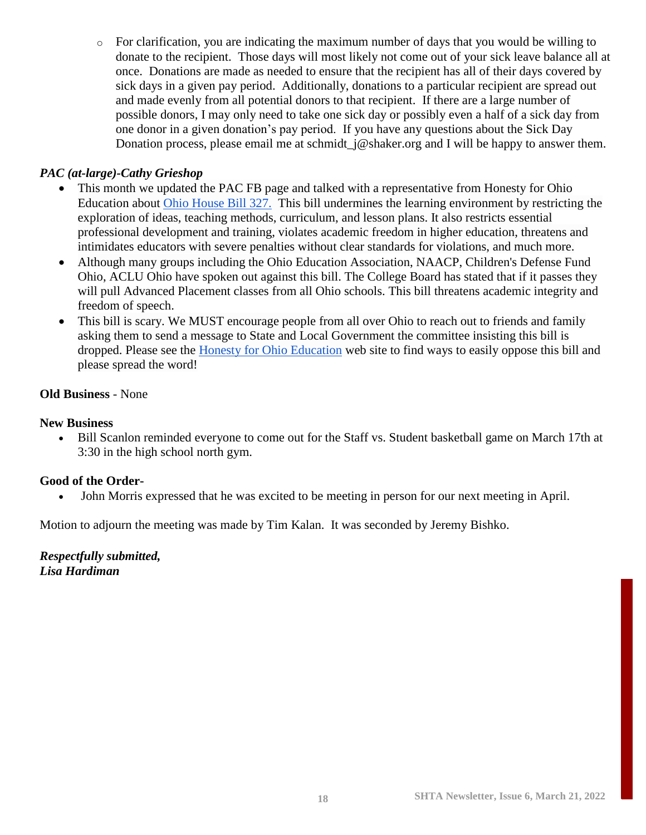$\circ$  For clarification, you are indicating the maximum number of days that you would be willing to donate to the recipient. Those days will most likely not come out of your sick leave balance all at once. Donations are made as needed to ensure that the recipient has all of their days covered by sick days in a given pay period. Additionally, donations to a particular recipient are spread out and made evenly from all potential donors to that recipient. If there are a large number of possible donors, I may only need to take one sick day or possibly even a half of a sick day from one donor in a given donation's pay period. If you have any questions about the Sick Day Donation process, please email me at schmidt\_j@shaker.org and I will be happy to answer them.

#### *PAC (at-large)-Cathy Grieshop*

- This month we updated the PAC FB page and talked with a representative from Honesty for Ohio Education about [Ohio House Bill 327.](https://www.honestyforohioeducation.info/hb-327.html) This bill undermines the learning environment by restricting the exploration of ideas, teaching methods, curriculum, and lesson plans. It also restricts essential professional development and training, violates academic freedom in higher education, threatens and intimidates educators with severe penalties without clear standards for violations, and much more.
- Although many groups including the Ohio Education Association, NAACP, Children's Defense Fund Ohio, ACLU Ohio have spoken out against this bill. The College Board has stated that if it passes they will pull Advanced Placement classes from all Ohio schools. This bill threatens academic integrity and freedom of speech.
- This bill is scary. We MUST encourage people from all over Ohio to reach out to friends and family asking them to send a message to State and Local Government the committee insisting this bill is dropped. Please see the [Honesty for Ohio Education](https://www.honestyforohioeducation.info/hb-327.html) web site to find ways to easily oppose this bill and please spread the word!

#### **Old Business** - None

#### **New Business**

• Bill Scanlon reminded everyone to come out for the Staff vs. Student basketball game on March 17th at 3:30 in the high school north gym.

#### **Good of the Order-**

• John Morris expressed that he was excited to be meeting in person for our next meeting in April.

Motion to adjourn the meeting was made by Tim Kalan. It was seconded by Jeremy Bishko.

*Respectfully submitted, Lisa Hardiman*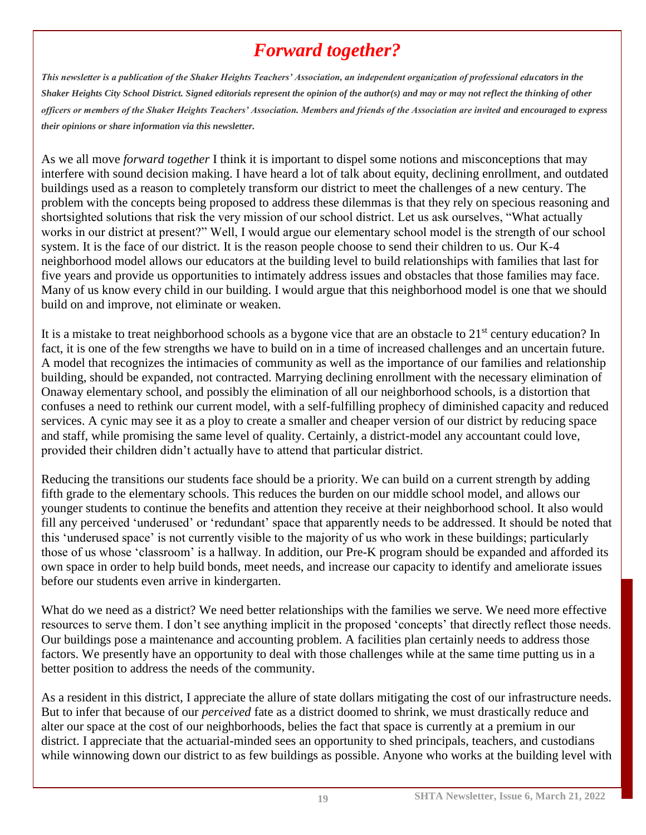## *Forward together?*

*This newsletter is a publication of the Shaker Heights Teachers' Association, an independent organization of professional educators in the Shaker Heights City School District. Signed editorials represent the opinion of the author(s) and may or may not reflect the thinking of other officers or members of the Shaker Heights Teachers' Association. Members and friends of the Association are invited and encouraged to express their opinions or share information via this newsletter.*

As we all move *forward together* I think it is important to dispel some notions and misconceptions that may interfere with sound decision making. I have heard a lot of talk about equity, declining enrollment, and outdated buildings used as a reason to completely transform our district to meet the challenges of a new century. The problem with the concepts being proposed to address these dilemmas is that they rely on specious reasoning and shortsighted solutions that risk the very mission of our school district. Let us ask ourselves, "What actually works in our district at present?" Well, I would argue our elementary school model is the strength of our school system. It is the face of our district. It is the reason people choose to send their children to us. Our K-4 neighborhood model allows our educators at the building level to build relationships with families that last for five years and provide us opportunities to intimately address issues and obstacles that those families may face. Many of us know every child in our building. I would argue that this neighborhood model is one that we should build on and improve, not eliminate or weaken.

It is a mistake to treat neighborhood schools as a bygone vice that are an obstacle to  $21<sup>st</sup>$  century education? In fact, it is one of the few strengths we have to build on in a time of increased challenges and an uncertain future. A model that recognizes the intimacies of community as well as the importance of our families and relationship building, should be expanded, not contracted. Marrying declining enrollment with the necessary elimination of Onaway elementary school, and possibly the elimination of all our neighborhood schools, is a distortion that confuses a need to rethink our current model, with a self-fulfilling prophecy of diminished capacity and reduced services. A cynic may see it as a ploy to create a smaller and cheaper version of our district by reducing space and staff, while promising the same level of quality. Certainly, a district-model any accountant could love, provided their children didn't actually have to attend that particular district.

Reducing the transitions our students face should be a priority. We can build on a current strength by adding fifth grade to the elementary schools. This reduces the burden on our middle school model, and allows our younger students to continue the benefits and attention they receive at their neighborhood school. It also would fill any perceived 'underused' or 'redundant' space that apparently needs to be addressed. It should be noted that this 'underused space' is not currently visible to the majority of us who work in these buildings; particularly those of us whose 'classroom' is a hallway. In addition, our Pre-K program should be expanded and afforded its own space in order to help build bonds, meet needs, and increase our capacity to identify and ameliorate issues before our students even arrive in kindergarten.

What do we need as a district? We need better relationships with the families we serve. We need more effective resources to serve them. I don't see anything implicit in the proposed 'concepts' that directly reflect those needs. Our buildings pose a maintenance and accounting problem. A facilities plan certainly needs to address those factors. We presently have an opportunity to deal with those challenges while at the same time putting us in a better position to address the needs of the community.

As a resident in this district, I appreciate the allure of state dollars mitigating the cost of our infrastructure needs. But to infer that because of our *perceived* fate as a district doomed to shrink, we must drastically reduce and alter our space at the cost of our neighborhoods, belies the fact that space is currently at a premium in our district. I appreciate that the actuarial-minded sees an opportunity to shed principals, teachers, and custodians while winnowing down our district to as few buildings as possible. Anyone who works at the building level with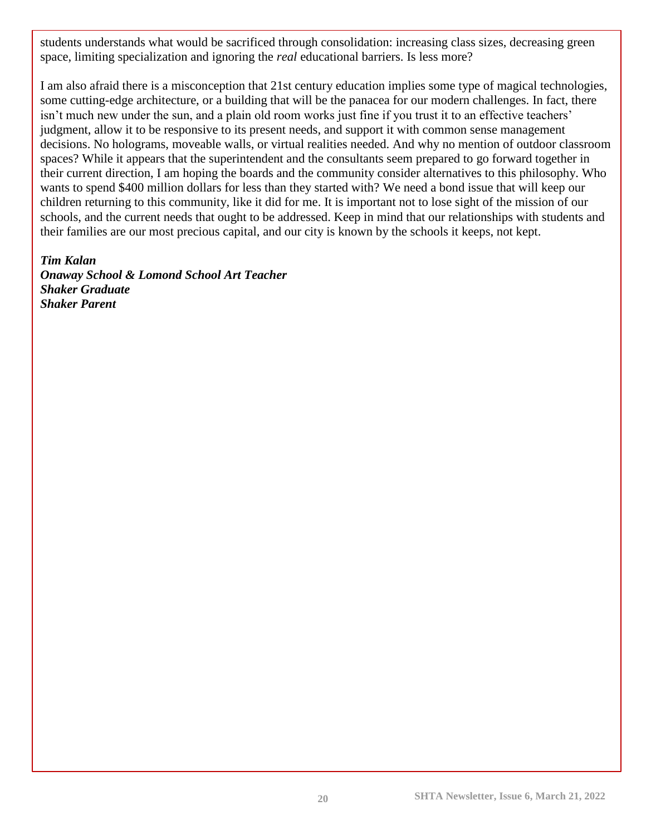students understands what would be sacrificed through consolidation: increasing class sizes, decreasing green space, limiting specialization and ignoring the *real* educational barriers. Is less more?

I am also afraid there is a misconception that 21st century education implies some type of magical technologies, some cutting-edge architecture, or a building that will be the panacea for our modern challenges. In fact, there isn't much new under the sun, and a plain old room works just fine if you trust it to an effective teachers' judgment, allow it to be responsive to its present needs, and support it with common sense management decisions. No holograms, moveable walls, or virtual realities needed. And why no mention of outdoor classroom spaces? While it appears that the superintendent and the consultants seem prepared to go forward together in their current direction, I am hoping the boards and the community consider alternatives to this philosophy. Who wants to spend \$400 million dollars for less than they started with? We need a bond issue that will keep our children returning to this community, like it did for me. It is important not to lose sight of the mission of our schools, and the current needs that ought to be addressed. Keep in mind that our relationships with students and their families are our most precious capital, and our city is known by the schools it keeps, not kept.

*Tim Kalan Onaway School & Lomond School Art Teacher Shaker Graduate Shaker Parent*